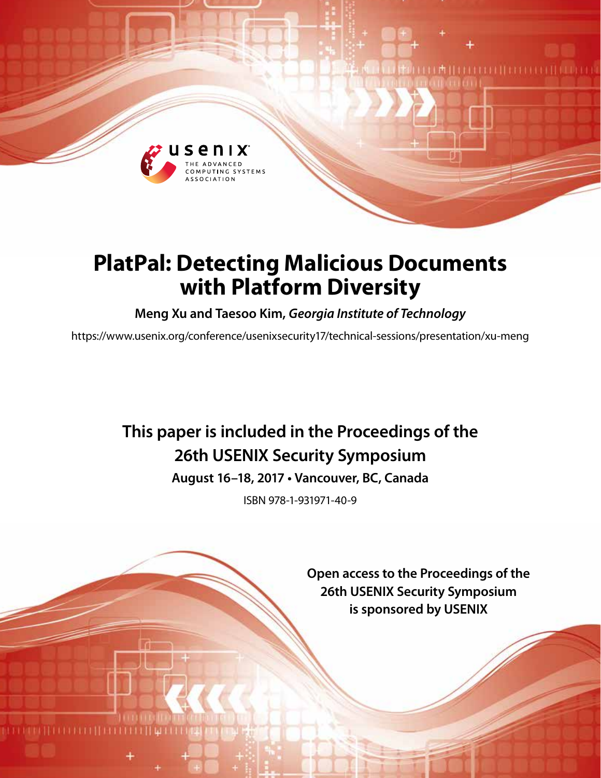

# **PlatPal: Detecting Malicious Documents with Platform Diversity**

**Meng Xu and Taesoo Kim,** *Georgia Institute of Technology*

https://www.usenix.org/conference/usenixsecurity17/technical-sessions/presentation/xu-meng

# **This paper is included in the Proceedings of the 26th USENIX Security Symposium**

**August 16–18, 2017 • Vancouver, BC, Canada**

ISBN 978-1-931971-40-9

**Open access to the Proceedings of the 26th USENIX Security Symposium is sponsored by USENIX**

**ALLEN DE HERE**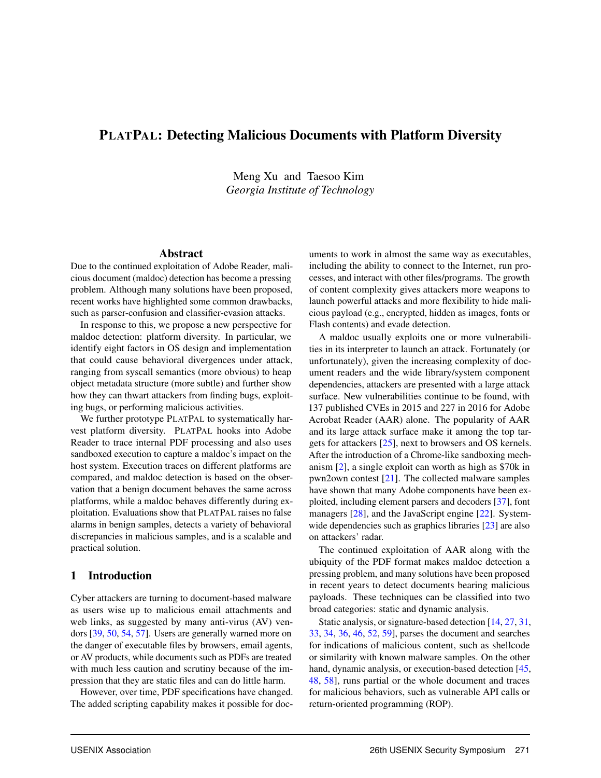# PLATPAL: Detecting Malicious Documents with Platform Diversity

Meng Xu and Taesoo Kim *Georgia Institute of Technology*

#### Abstract

Due to the continued exploitation of Adobe Reader, malicious document (maldoc) detection has become a pressing problem. Although many solutions have been proposed, recent works have highlighted some common drawbacks, such as parser-confusion and classifier-evasion attacks.

In response to this, we propose a new perspective for maldoc detection: platform diversity. In particular, we identify eight factors in OS design and implementation that could cause behavioral divergences under attack, ranging from syscall semantics (more obvious) to heap object metadata structure (more subtle) and further show how they can thwart attackers from finding bugs, exploiting bugs, or performing malicious activities.

We further prototype PLATPAL to systematically harvest platform diversity. PLATPAL hooks into Adobe Reader to trace internal PDF processing and also uses sandboxed execution to capture a maldoc's impact on the host system. Execution traces on different platforms are compared, and maldoc detection is based on the observation that a benign document behaves the same across platforms, while a maldoc behaves differently during exploitation. Evaluations show that PLATPAL raises no false alarms in benign samples, detects a variety of behavioral discrepancies in malicious samples, and is a scalable and practical solution.

#### 1 Introduction

Cyber attackers are turning to document-based malware as users wise up to malicious email attachments and web links, as suggested by many anti-virus (AV) vendors [39, 50, 54, 57]. Users are generally warned more on the danger of executable files by browsers, email agents, or AV products, while documents such as PDFs are treated with much less caution and scrutiny because of the impression that they are static files and can do little harm.

However, over time, PDF specifications have changed. The added scripting capability makes it possible for documents to work in almost the same way as executables, including the ability to connect to the Internet, run processes, and interact with other files/programs. The growth of content complexity gives attackers more weapons to launch powerful attacks and more flexibility to hide malicious payload (e.g., encrypted, hidden as images, fonts or Flash contents) and evade detection.

A maldoc usually exploits one or more vulnerabilities in its interpreter to launch an attack. Fortunately (or unfortunately), given the increasing complexity of document readers and the wide library/system component dependencies, attackers are presented with a large attack surface. New vulnerabilities continue to be found, with 137 published CVEs in 2015 and 227 in 2016 for Adobe Acrobat Reader (AAR) alone. The popularity of AAR and its large attack surface make it among the top targets for attackers [25], next to browsers and OS kernels. After the introduction of a Chrome-like sandboxing mechanism [2], a single exploit can worth as high as \$70k in pwn2own contest [21]. The collected malware samples have shown that many Adobe components have been exploited, including element parsers and decoders [37], font managers [28], and the JavaScript engine [22]. Systemwide dependencies such as graphics libraries [23] are also on attackers' radar.

The continued exploitation of AAR along with the ubiquity of the PDF format makes maldoc detection a pressing problem, and many solutions have been proposed in recent years to detect documents bearing malicious payloads. These techniques can be classified into two broad categories: static and dynamic analysis.

Static analysis, or signature-based detection [14, 27, 31, 33, 34, 36, 46, 52, 59], parses the document and searches for indications of malicious content, such as shellcode or similarity with known malware samples. On the other hand, dynamic analysis, or execution-based detection [45, 48, 58], runs partial or the whole document and traces for malicious behaviors, such as vulnerable API calls or return-oriented programming (ROP).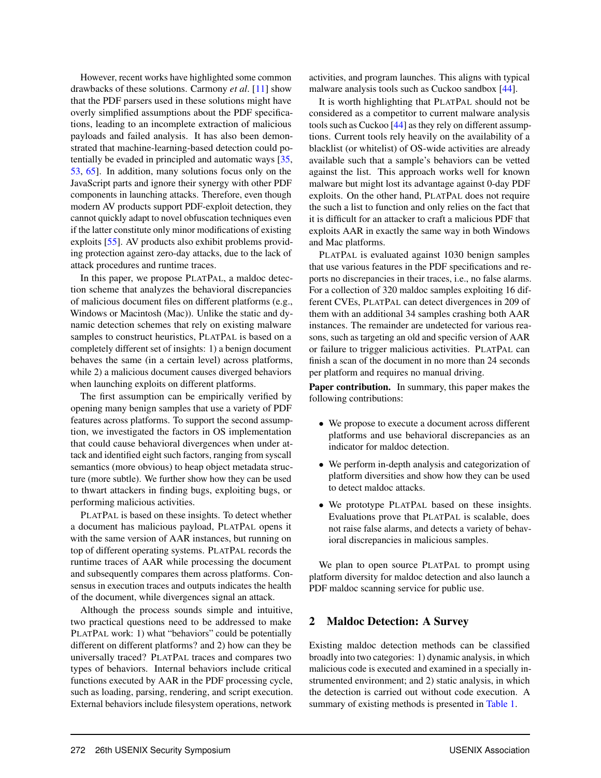However, recent works have highlighted some common drawbacks of these solutions. Carmony *et al*. [11] show that the PDF parsers used in these solutions might have overly simplified assumptions about the PDF specifications, leading to an incomplete extraction of malicious payloads and failed analysis. It has also been demonstrated that machine-learning-based detection could potentially be evaded in principled and automatic ways [35, 53, 65]. In addition, many solutions focus only on the JavaScript parts and ignore their synergy with other PDF components in launching attacks. Therefore, even though modern AV products support PDF-exploit detection, they cannot quickly adapt to novel obfuscation techniques even if the latter constitute only minor modifications of existing exploits [55]. AV products also exhibit problems providing protection against zero-day attacks, due to the lack of attack procedures and runtime traces.

In this paper, we propose PLATPAL, a maldoc detection scheme that analyzes the behavioral discrepancies of malicious document files on different platforms (e.g., Windows or Macintosh (Mac)). Unlike the static and dynamic detection schemes that rely on existing malware samples to construct heuristics, PLATPAL is based on a completely different set of insights: 1) a benign document behaves the same (in a certain level) across platforms, while 2) a malicious document causes diverged behaviors when launching exploits on different platforms.

The first assumption can be empirically verified by opening many benign samples that use a variety of PDF features across platforms. To support the second assumption, we investigated the factors in OS implementation that could cause behavioral divergences when under attack and identified eight such factors, ranging from syscall semantics (more obvious) to heap object metadata structure (more subtle). We further show how they can be used to thwart attackers in finding bugs, exploiting bugs, or performing malicious activities.

PLATPAL is based on these insights. To detect whether a document has malicious payload, PLATPAL opens it with the same version of AAR instances, but running on top of different operating systems. PLATPAL records the runtime traces of AAR while processing the document and subsequently compares them across platforms. Consensus in execution traces and outputs indicates the health of the document, while divergences signal an attack.

Although the process sounds simple and intuitive, two practical questions need to be addressed to make PLATPAL work: 1) what "behaviors" could be potentially different on different platforms? and 2) how can they be universally traced? PLATPAL traces and compares two types of behaviors. Internal behaviors include critical functions executed by AAR in the PDF processing cycle, such as loading, parsing, rendering, and script execution. External behaviors include filesystem operations, network

activities, and program launches. This aligns with typical malware analysis tools such as Cuckoo sandbox [44].

It is worth highlighting that PLATPAL should not be considered as a competitor to current malware analysis tools such as Cuckoo [44] as they rely on different assumptions. Current tools rely heavily on the availability of a blacklist (or whitelist) of OS-wide activities are already available such that a sample's behaviors can be vetted against the list. This approach works well for known malware but might lost its advantage against 0-day PDF exploits. On the other hand, PLATPAL does not require the such a list to function and only relies on the fact that it is difficult for an attacker to craft a malicious PDF that exploits AAR in exactly the same way in both Windows and Mac platforms.

PLATPAL is evaluated against 1030 benign samples that use various features in the PDF specifications and reports no discrepancies in their traces, i.e., no false alarms. For a collection of 320 maldoc samples exploiting 16 different CVEs, PLATPAL can detect divergences in 209 of them with an additional 34 samples crashing both AAR instances. The remainder are undetected for various reasons, such as targeting an old and specific version of AAR or failure to trigger malicious activities. PLATPAL can finish a scan of the document in no more than 24 seconds per platform and requires no manual driving.

Paper contribution. In summary, this paper makes the following contributions:

- We propose to execute a document across different platforms and use behavioral discrepancies as an indicator for maldoc detection.
- We perform in-depth analysis and categorization of platform diversities and show how they can be used to detect maldoc attacks.
- We prototype PLATPAL based on these insights. Evaluations prove that PLATPAL is scalable, does not raise false alarms, and detects a variety of behavioral discrepancies in malicious samples.

We plan to open source PLATPAL to prompt using platform diversity for maldoc detection and also launch a PDF maldoc scanning service for public use.

## 2 Maldoc Detection: A Survey

Existing maldoc detection methods can be classified broadly into two categories: 1) dynamic analysis, in which malicious code is executed and examined in a specially instrumented environment; and 2) static analysis, in which the detection is carried out without code execution. A summary of existing methods is presented in Table 1.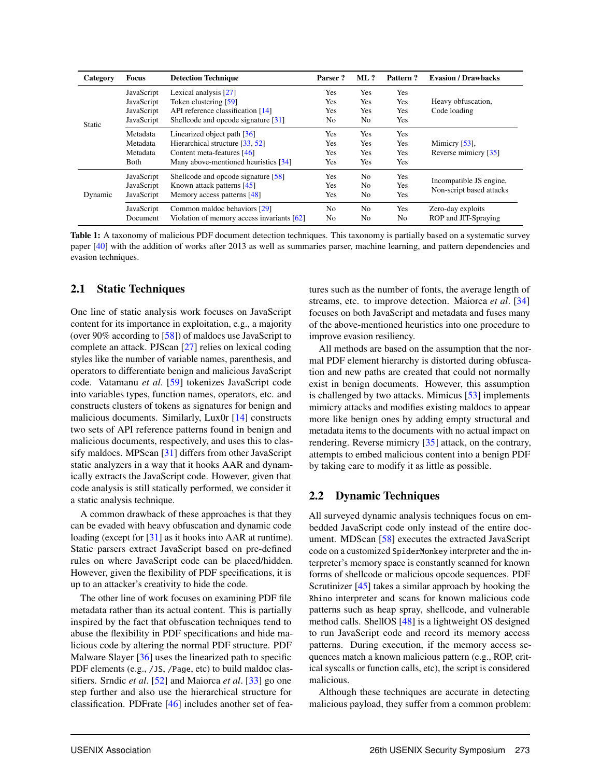| Category      | Focus      | <b>Detection Technique</b>                                    | Parser?        | $ML$ ?         | Pattern?       | <b>Evasion / Drawbacks</b> |
|---------------|------------|---------------------------------------------------------------|----------------|----------------|----------------|----------------------------|
|               | JavaScript | Lexical analysis [27]                                         | Yes            | Yes            | Yes            |                            |
|               | JavaScript | Token clustering [59]                                         |                | Yes            | Yes            | Heavy obfuscation,         |
|               | JavaScript | API reference classification [14]                             | Yes            | Yes            | Yes            | Code loading               |
| <b>Static</b> | JavaScript | Shellcode and opcode signature [31]                           | No             | N <sub>0</sub> | Yes            |                            |
|               | Metadata   | Linearized object path $[36]$                                 | Yes            | Yes            | Yes            |                            |
|               | Metadata   | Hierarchical structure [33, 52]<br>Content meta-features [46] | Yes            | Yes            | Yes            | Mimicry [53].              |
|               | Metadata   |                                                               | Yes            | Yes            | Yes            | Reverse mimicry [35]       |
|               | Both       | Many above-mentioned heuristics [34]                          | Yes            | Yes            | Yes            |                            |
| Dynamic       | JavaScript | Shellcode and opcode signature [58]                           | Yes            | N <sub>0</sub> | Yes            | Incompatible JS engine,    |
|               | JavaScript | Known attack patterns $[45]$                                  | Yes            | No             | Yes            | Non-script based attacks   |
|               | JavaScript | Memory access patterns [48]                                   | Yes            | N <sub>0</sub> | Yes            |                            |
|               | JavaScript | Common maldoc behaviors [29]                                  | N <sub>0</sub> | N <sub>0</sub> | Yes            | Zero-day exploits          |
|               | Document   | Violation of memory access invariants [62]                    | No             | No             | N <sub>0</sub> | ROP and JIT-Spraying       |

Table 1: A taxonomy of malicious PDF document detection techniques. This taxonomy is partially based on a systematic survey paper [40] with the addition of works after 2013 as well as summaries parser, machine learning, and pattern dependencies and evasion techniques.

#### 2.1 Static Techniques

One line of static analysis work focuses on JavaScript content for its importance in exploitation, e.g., a majority (over 90% according to [58]) of maldocs use JavaScript to complete an attack. PJScan [27] relies on lexical coding styles like the number of variable names, parenthesis, and operators to differentiate benign and malicious JavaScript code. Vatamanu *et al*. [59] tokenizes JavaScript code into variables types, function names, operators, etc. and constructs clusters of tokens as signatures for benign and malicious documents. Similarly, Lux0r [14] constructs two sets of API reference patterns found in benign and malicious documents, respectively, and uses this to classify maldocs. MPScan [31] differs from other JavaScript static analyzers in a way that it hooks AAR and dynamically extracts the JavaScript code. However, given that code analysis is still statically performed, we consider it a static analysis technique.

A common drawback of these approaches is that they can be evaded with heavy obfuscation and dynamic code loading (except for [31] as it hooks into AAR at runtime). Static parsers extract JavaScript based on pre-defined rules on where JavaScript code can be placed/hidden. However, given the flexibility of PDF specifications, it is up to an attacker's creativity to hide the code.

The other line of work focuses on examining PDF file metadata rather than its actual content. This is partially inspired by the fact that obfuscation techniques tend to abuse the flexibility in PDF specifications and hide malicious code by altering the normal PDF structure. PDF Malware Slayer [36] uses the linearized path to specific PDF elements (e.g., /JS, /Page, etc) to build maldoc classifiers. Srndic *et al*. [52] and Maiorca *et al*. [33] go one step further and also use the hierarchical structure for classification. PDFrate [46] includes another set of features such as the number of fonts, the average length of streams, etc. to improve detection. Maiorca *et al*. [34] focuses on both JavaScript and metadata and fuses many of the above-mentioned heuristics into one procedure to improve evasion resiliency.

All methods are based on the assumption that the normal PDF element hierarchy is distorted during obfuscation and new paths are created that could not normally exist in benign documents. However, this assumption is challenged by two attacks. Mimicus [53] implements mimicry attacks and modifies existing maldocs to appear more like benign ones by adding empty structural and metadata items to the documents with no actual impact on rendering. Reverse mimicry [35] attack, on the contrary, attempts to embed malicious content into a benign PDF by taking care to modify it as little as possible.

#### 2.2 Dynamic Techniques

All surveyed dynamic analysis techniques focus on embedded JavaScript code only instead of the entire document. MDScan [58] executes the extracted JavaScript code on a customized SpiderMonkey interpreter and the interpreter's memory space is constantly scanned for known forms of shellcode or malicious opcode sequences. PDF Scrutinizer [45] takes a similar approach by hooking the Rhino interpreter and scans for known malicious code patterns such as heap spray, shellcode, and vulnerable method calls. ShellOS [48] is a lightweight OS designed to run JavaScript code and record its memory access patterns. During execution, if the memory access sequences match a known malicious pattern (e.g., ROP, critical syscalls or function calls, etc), the script is considered malicious.

Although these techniques are accurate in detecting malicious payload, they suffer from a common problem: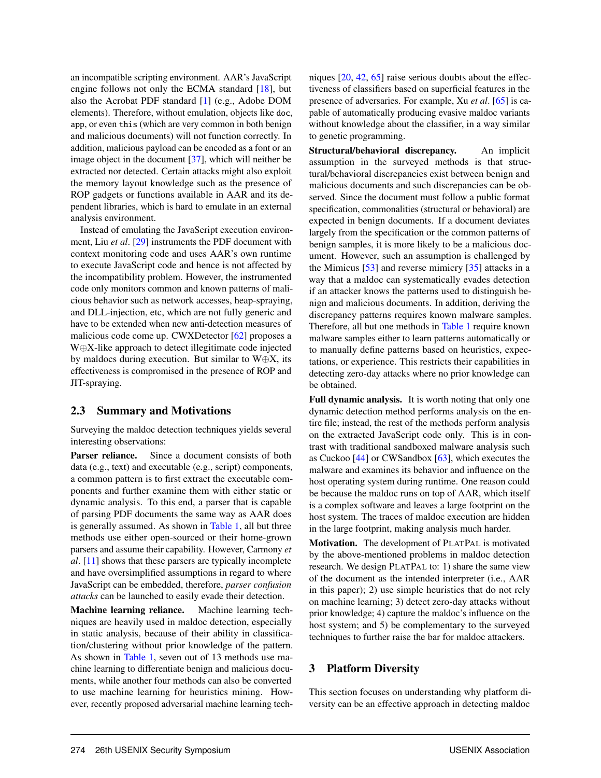an incompatible scripting environment. AAR's JavaScript engine follows not only the ECMA standard [18], but also the Acrobat PDF standard [1] (e.g., Adobe DOM elements). Therefore, without emulation, objects like doc, app, or even this (which are very common in both benign and malicious documents) will not function correctly. In addition, malicious payload can be encoded as a font or an image object in the document [37], which will neither be extracted nor detected. Certain attacks might also exploit the memory layout knowledge such as the presence of ROP gadgets or functions available in AAR and its dependent libraries, which is hard to emulate in an external analysis environment.

Instead of emulating the JavaScript execution environment, Liu *et al*. [29] instruments the PDF document with context monitoring code and uses AAR's own runtime to execute JavaScript code and hence is not affected by the incompatibility problem. However, the instrumented code only monitors common and known patterns of malicious behavior such as network accesses, heap-spraying, and DLL-injection, etc, which are not fully generic and have to be extended when new anti-detection measures of malicious code come up. CWXDetector [62] proposes a W⊕X-like approach to detect illegitimate code injected by maldocs during execution. But similar to  $W \oplus X$ , its effectiveness is compromised in the presence of ROP and JIT-spraying.

## 2.3 Summary and Motivations

Surveying the maldoc detection techniques yields several interesting observations:

Parser reliance. Since a document consists of both data (e.g., text) and executable (e.g., script) components, a common pattern is to first extract the executable components and further examine them with either static or dynamic analysis. To this end, a parser that is capable of parsing PDF documents the same way as AAR does is generally assumed. As shown in Table 1, all but three methods use either open-sourced or their home-grown parsers and assume their capability. However, Carmony *et al*. [11] shows that these parsers are typically incomplete and have oversimplified assumptions in regard to where JavaScript can be embedded, therefore, *parser confusion attacks* can be launched to easily evade their detection.

Machine learning reliance. Machine learning techniques are heavily used in maldoc detection, especially in static analysis, because of their ability in classification/clustering without prior knowledge of the pattern. As shown in Table 1, seven out of 13 methods use machine learning to differentiate benign and malicious documents, while another four methods can also be converted to use machine learning for heuristics mining. However, recently proposed adversarial machine learning techniques [20, 42, 65] raise serious doubts about the effectiveness of classifiers based on superficial features in the presence of adversaries. For example, Xu *et al*. [65] is capable of automatically producing evasive maldoc variants without knowledge about the classifier, in a way similar to genetic programming.

Structural/behavioral discrepancy. An implicit assumption in the surveyed methods is that structural/behavioral discrepancies exist between benign and malicious documents and such discrepancies can be observed. Since the document must follow a public format specification, commonalities (structural or behavioral) are expected in benign documents. If a document deviates largely from the specification or the common patterns of benign samples, it is more likely to be a malicious document. However, such an assumption is challenged by the Mimicus [53] and reverse mimicry [35] attacks in a way that a maldoc can systematically evades detection if an attacker knows the patterns used to distinguish benign and malicious documents. In addition, deriving the discrepancy patterns requires known malware samples. Therefore, all but one methods in Table 1 require known malware samples either to learn patterns automatically or to manually define patterns based on heuristics, expectations, or experience. This restricts their capabilities in detecting zero-day attacks where no prior knowledge can be obtained.

Full dynamic analysis. It is worth noting that only one dynamic detection method performs analysis on the entire file; instead, the rest of the methods perform analysis on the extracted JavaScript code only. This is in contrast with traditional sandboxed malware analysis such as Cuckoo [44] or CWSandbox [63], which executes the malware and examines its behavior and influence on the host operating system during runtime. One reason could be because the maldoc runs on top of AAR, which itself is a complex software and leaves a large footprint on the host system. The traces of maldoc execution are hidden in the large footprint, making analysis much harder.

Motivation. The development of PLATPAL is motivated by the above-mentioned problems in maldoc detection research. We design PLATPAL to: 1) share the same view of the document as the intended interpreter (i.e., AAR in this paper); 2) use simple heuristics that do not rely on machine learning; 3) detect zero-day attacks without prior knowledge; 4) capture the maldoc's influence on the host system; and 5) be complementary to the surveyed techniques to further raise the bar for maldoc attackers.

## 3 Platform Diversity

This section focuses on understanding why platform diversity can be an effective approach in detecting maldoc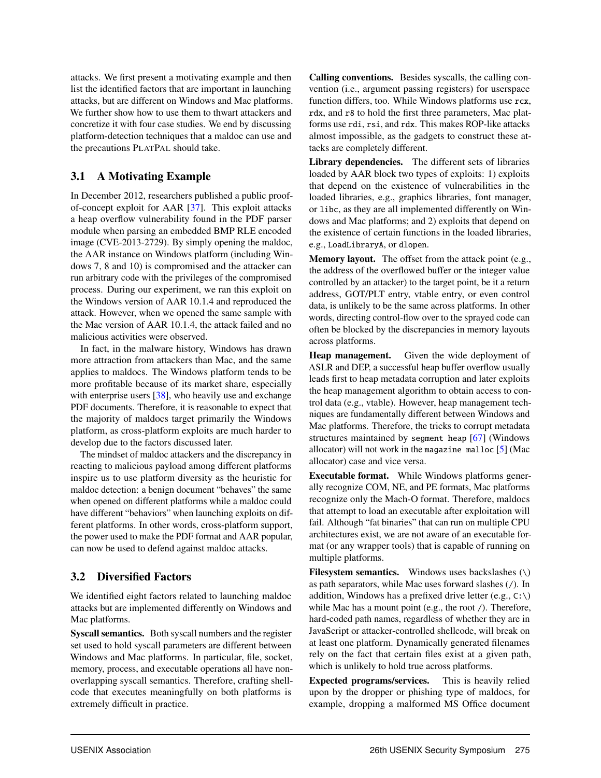attacks. We first present a motivating example and then list the identified factors that are important in launching attacks, but are different on Windows and Mac platforms. We further show how to use them to thwart attackers and concretize it with four case studies. We end by discussing platform-detection techniques that a maldoc can use and the precautions PLATPAL should take.

# 3.1 A Motivating Example

In December 2012, researchers published a public proofof-concept exploit for AAR [37]. This exploit attacks a heap overflow vulnerability found in the PDF parser module when parsing an embedded BMP RLE encoded image (CVE-2013-2729). By simply opening the maldoc, the AAR instance on Windows platform (including Windows 7, 8 and 10) is compromised and the attacker can run arbitrary code with the privileges of the compromised process. During our experiment, we ran this exploit on the Windows version of AAR 10.1.4 and reproduced the attack. However, when we opened the same sample with the Mac version of AAR 10.1.4, the attack failed and no malicious activities were observed.

In fact, in the malware history, Windows has drawn more attraction from attackers than Mac, and the same applies to maldocs. The Windows platform tends to be more profitable because of its market share, especially with enterprise users [38], who heavily use and exchange PDF documents. Therefore, it is reasonable to expect that the majority of maldocs target primarily the Windows platform, as cross-platform exploits are much harder to develop due to the factors discussed later.

The mindset of maldoc attackers and the discrepancy in reacting to malicious payload among different platforms inspire us to use platform diversity as the heuristic for maldoc detection: a benign document "behaves" the same when opened on different platforms while a maldoc could have different "behaviors" when launching exploits on different platforms. In other words, cross-platform support, the power used to make the PDF format and AAR popular, can now be used to defend against maldoc attacks.

# 3.2 Diversified Factors

We identified eight factors related to launching maldoc attacks but are implemented differently on Windows and Mac platforms.

Syscall semantics. Both syscall numbers and the register set used to hold syscall parameters are different between Windows and Mac platforms. In particular, file, socket, memory, process, and executable operations all have nonoverlapping syscall semantics. Therefore, crafting shellcode that executes meaningfully on both platforms is extremely difficult in practice.

Calling conventions. Besides syscalls, the calling convention (i.e., argument passing registers) for userspace function differs, too. While Windows platforms use rcx, rdx, and r8 to hold the first three parameters, Mac platforms use rdi, rsi, and rdx. This makes ROP-like attacks almost impossible, as the gadgets to construct these attacks are completely different.

Library dependencies. The different sets of libraries loaded by AAR block two types of exploits: 1) exploits that depend on the existence of vulnerabilities in the loaded libraries, e.g., graphics libraries, font manager, or libc, as they are all implemented differently on Windows and Mac platforms; and 2) exploits that depend on the existence of certain functions in the loaded libraries, e.g., LoadLibraryA, or dlopen.

Memory layout. The offset from the attack point (e.g., the address of the overflowed buffer or the integer value controlled by an attacker) to the target point, be it a return address, GOT/PLT entry, vtable entry, or even control data, is unlikely to be the same across platforms. In other words, directing control-flow over to the sprayed code can often be blocked by the discrepancies in memory layouts across platforms.

Heap management. Given the wide deployment of ASLR and DEP, a successful heap buffer overflow usually leads first to heap metadata corruption and later exploits the heap management algorithm to obtain access to control data (e.g., vtable). However, heap management techniques are fundamentally different between Windows and Mac platforms. Therefore, the tricks to corrupt metadata structures maintained by segment heap [67] (Windows allocator) will not work in the magazine malloc  $[5]$  (Mac allocator) case and vice versa.

Executable format. While Windows platforms generally recognize COM, NE, and PE formats, Mac platforms recognize only the Mach-O format. Therefore, maldocs that attempt to load an executable after exploitation will fail. Although "fat binaries" that can run on multiple CPU architectures exist, we are not aware of an executable format (or any wrapper tools) that is capable of running on multiple platforms.

**Filesystem semantics.** Windows uses backslashes  $(\n)$ as path separators, while Mac uses forward slashes (/). In addition, Windows has a prefixed drive letter (e.g.,  $C:\ \rangle$ ) while Mac has a mount point (e.g., the root /). Therefore, hard-coded path names, regardless of whether they are in JavaScript or attacker-controlled shellcode, will break on at least one platform. Dynamically generated filenames rely on the fact that certain files exist at a given path, which is unlikely to hold true across platforms.

Expected programs/services. This is heavily relied upon by the dropper or phishing type of maldocs, for example, dropping a malformed MS Office document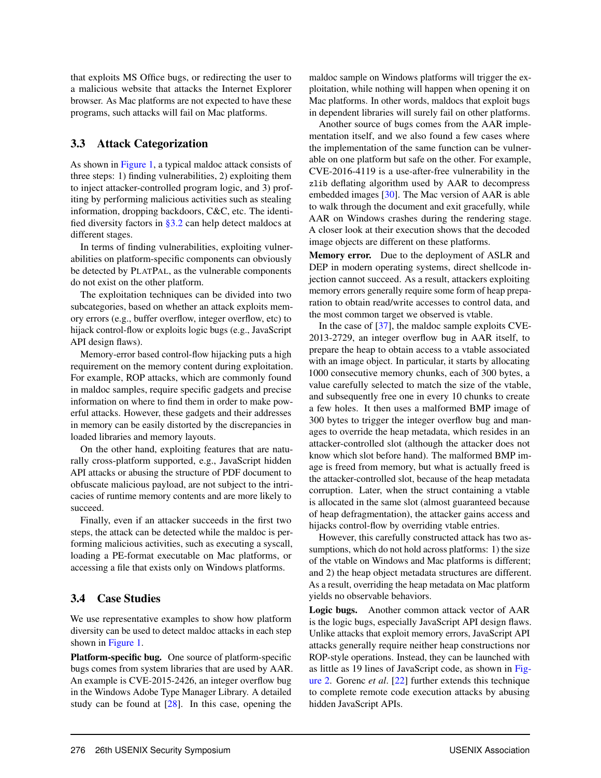that exploits MS Office bugs, or redirecting the user to a malicious website that attacks the Internet Explorer browser. As Mac platforms are not expected to have these programs, such attacks will fail on Mac platforms.

## 3.3 Attack Categorization

As shown in Figure 1, a typical maldoc attack consists of three steps: 1) finding vulnerabilities, 2) exploiting them to inject attacker-controlled program logic, and 3) profiting by performing malicious activities such as stealing information, dropping backdoors, C&C, etc. The identified diversity factors in §3.2 can help detect maldocs at different stages.

In terms of finding vulnerabilities, exploiting vulnerabilities on platform-specific components can obviously be detected by PLATPAL, as the vulnerable components do not exist on the other platform.

The exploitation techniques can be divided into two subcategories, based on whether an attack exploits memory errors (e.g., buffer overflow, integer overflow, etc) to hijack control-flow or exploits logic bugs (e.g., JavaScript API design flaws).

Memory-error based control-flow hijacking puts a high requirement on the memory content during exploitation. For example, ROP attacks, which are commonly found in maldoc samples, require specific gadgets and precise information on where to find them in order to make powerful attacks. However, these gadgets and their addresses in memory can be easily distorted by the discrepancies in loaded libraries and memory layouts.

On the other hand, exploiting features that are naturally cross-platform supported, e.g., JavaScript hidden API attacks or abusing the structure of PDF document to obfuscate malicious payload, are not subject to the intricacies of runtime memory contents and are more likely to succeed.

Finally, even if an attacker succeeds in the first two steps, the attack can be detected while the maldoc is performing malicious activities, such as executing a syscall, loading a PE-format executable on Mac platforms, or accessing a file that exists only on Windows platforms.

# 3.4 Case Studies

We use representative examples to show how platform diversity can be used to detect maldoc attacks in each step shown in Figure 1.

Platform-specific bug. One source of platform-specific bugs comes from system libraries that are used by AAR. An example is CVE-2015-2426, an integer overflow bug in the Windows Adobe Type Manager Library. A detailed study can be found at [28]. In this case, opening the maldoc sample on Windows platforms will trigger the exploitation, while nothing will happen when opening it on Mac platforms. In other words, maldocs that exploit bugs in dependent libraries will surely fail on other platforms.

Another source of bugs comes from the AAR implementation itself, and we also found a few cases where the implementation of the same function can be vulnerable on one platform but safe on the other. For example, CVE-2016-4119 is a use-after-free vulnerability in the zlib deflating algorithm used by AAR to decompress embedded images [30]. The Mac version of AAR is able to walk through the document and exit gracefully, while AAR on Windows crashes during the rendering stage. A closer look at their execution shows that the decoded image objects are different on these platforms.

Memory error. Due to the deployment of ASLR and DEP in modern operating systems, direct shellcode injection cannot succeed. As a result, attackers exploiting memory errors generally require some form of heap preparation to obtain read/write accesses to control data, and the most common target we observed is vtable.

In the case of [37], the maldoc sample exploits CVE-2013-2729, an integer overflow bug in AAR itself, to prepare the heap to obtain access to a vtable associated with an image object. In particular, it starts by allocating 1000 consecutive memory chunks, each of 300 bytes, a value carefully selected to match the size of the vtable, and subsequently free one in every 10 chunks to create a few holes. It then uses a malformed BMP image of 300 bytes to trigger the integer overflow bug and manages to override the heap metadata, which resides in an attacker-controlled slot (although the attacker does not know which slot before hand). The malformed BMP image is freed from memory, but what is actually freed is the attacker-controlled slot, because of the heap metadata corruption. Later, when the struct containing a vtable is allocated in the same slot (almost guaranteed because of heap defragmentation), the attacker gains access and hijacks control-flow by overriding vtable entries.

However, this carefully constructed attack has two assumptions, which do not hold across platforms: 1) the size of the vtable on Windows and Mac platforms is different; and 2) the heap object metadata structures are different. As a result, overriding the heap metadata on Mac platform yields no observable behaviors.

Logic bugs. Another common attack vector of AAR is the logic bugs, especially JavaScript API design flaws. Unlike attacks that exploit memory errors, JavaScript API attacks generally require neither heap constructions nor ROP-style operations. Instead, they can be launched with as little as 19 lines of JavaScript code, as shown in Figure 2. Gorenc *et al*. [22] further extends this technique to complete remote code execution attacks by abusing hidden JavaScript APIs.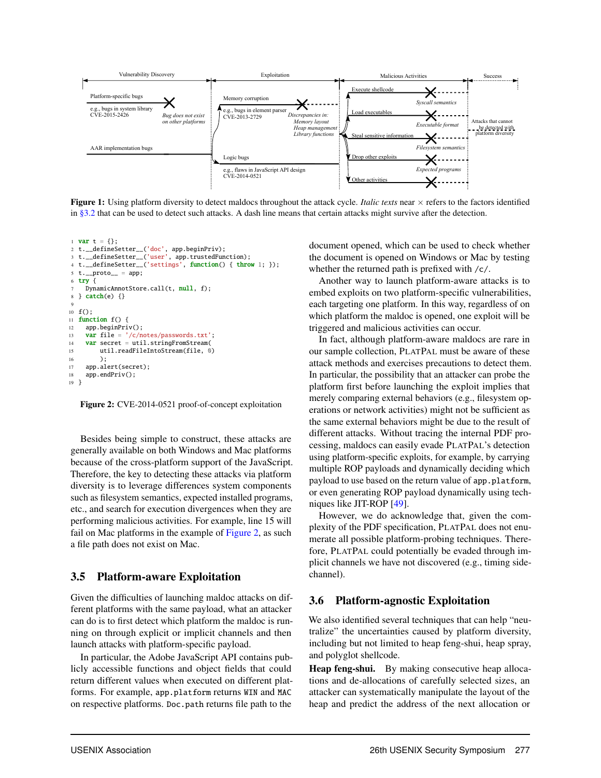

Figure 1: Using platform diversity to detect maldocs throughout the attack cycle. *Italic texts* near  $\times$  refers to the factors identified in §3.2 that can be used to detect such attacks. A dash line means that certain attacks might survive after the detection.

```
1 var t = \{\};2 t.__defineSetter__('doc', app.beginPriv);
3 t.__defineSetter__('user', app.trustedFunction);
   t.__defineSetter__('settings', function() { throw 1; });
5 t. __proto__ = app;
6 try \{DynamicAnnotStore.call(t, null, f);
8 \} \text{ catch}(e) \{ \}9
10 \text{ f}():
11 function f() {
12 app.beginPriv();
13 var file = '/c/notes/passwords.txt';
14 var secret = util.stringFromStream(
15 util.readFileIntoStream(file, 0)
16 );
17 app.alert(secret);
18 app.endPriv();
19 }
```
Figure 2: CVE-2014-0521 proof-of-concept exploitation

Besides being simple to construct, these attacks are generally available on both Windows and Mac platforms because of the cross-platform support of the JavaScript. Therefore, the key to detecting these attacks via platform diversity is to leverage differences system components such as filesystem semantics, expected installed programs, etc., and search for execution divergences when they are performing malicious activities. For example, line 15 will fail on Mac platforms in the example of Figure 2, as such a file path does not exist on Mac.

#### 3.5 Platform-aware Exploitation

Given the difficulties of launching maldoc attacks on different platforms with the same payload, what an attacker can do is to first detect which platform the maldoc is running on through explicit or implicit channels and then launch attacks with platform-specific payload.

In particular, the Adobe JavaScript API contains publicly accessible functions and object fields that could return different values when executed on different platforms. For example, app.platform returns WIN and MAC on respective platforms. Doc.path returns file path to the

document opened, which can be used to check whether the document is opened on Windows or Mac by testing whether the returned path is prefixed with /c/.

Another way to launch platform-aware attacks is to embed exploits on two platform-specific vulnerabilities, each targeting one platform. In this way, regardless of on which platform the maldoc is opened, one exploit will be triggered and malicious activities can occur.

In fact, although platform-aware maldocs are rare in our sample collection, PLATPAL must be aware of these attack methods and exercises precautions to detect them. In particular, the possibility that an attacker can probe the platform first before launching the exploit implies that merely comparing external behaviors (e.g., filesystem operations or network activities) might not be sufficient as the same external behaviors might be due to the result of different attacks. Without tracing the internal PDF processing, maldocs can easily evade PLATPAL's detection using platform-specific exploits, for example, by carrying multiple ROP payloads and dynamically deciding which payload to use based on the return value of app.platform, or even generating ROP payload dynamically using techniques like JIT-ROP [49].

However, we do acknowledge that, given the complexity of the PDF specification, PLATPAL does not enumerate all possible platform-probing techniques. Therefore, PLATPAL could potentially be evaded through implicit channels we have not discovered (e.g., timing sidechannel).

#### 3.6 Platform-agnostic Exploitation

We also identified several techniques that can help "neutralize" the uncertainties caused by platform diversity, including but not limited to heap feng-shui, heap spray, and polyglot shellcode.

Heap feng-shui. By making consecutive heap allocations and de-allocations of carefully selected sizes, an attacker can systematically manipulate the layout of the heap and predict the address of the next allocation or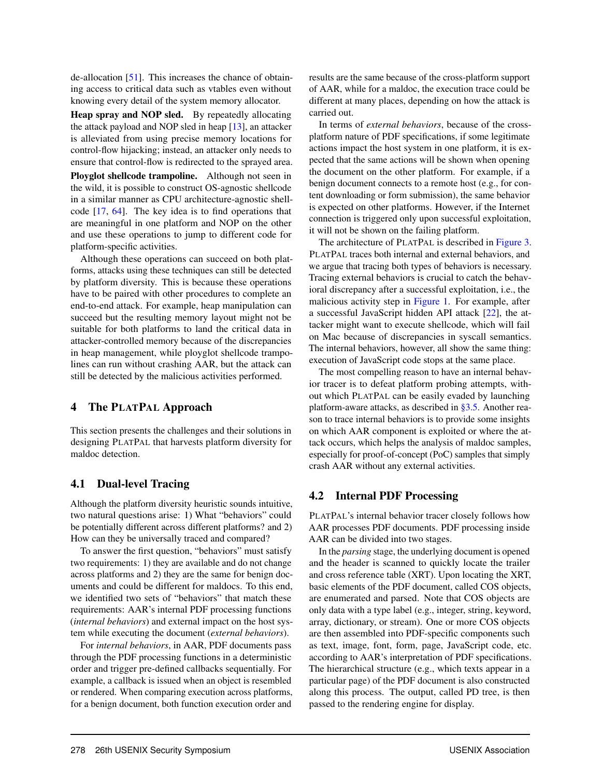de-allocation [51]. This increases the chance of obtaining access to critical data such as vtables even without knowing every detail of the system memory allocator.

Heap spray and NOP sled. By repeatedly allocating the attack payload and NOP sled in heap [13], an attacker is alleviated from using precise memory locations for control-flow hijacking; instead, an attacker only needs to ensure that control-flow is redirected to the sprayed area. Ployglot shellcode trampoline. Although not seen in the wild, it is possible to construct OS-agnostic shellcode in a similar manner as CPU architecture-agnostic shellcode [17, 64]. The key idea is to find operations that are meaningful in one platform and NOP on the other and use these operations to jump to different code for platform-specific activities.

Although these operations can succeed on both platforms, attacks using these techniques can still be detected by platform diversity. This is because these operations have to be paired with other procedures to complete an end-to-end attack. For example, heap manipulation can succeed but the resulting memory layout might not be suitable for both platforms to land the critical data in attacker-controlled memory because of the discrepancies in heap management, while ployglot shellcode trampolines can run without crashing AAR, but the attack can still be detected by the malicious activities performed.

## 4 The PLATPAL Approach

This section presents the challenges and their solutions in designing PLATPAL that harvests platform diversity for maldoc detection.

# 4.1 Dual-level Tracing

Although the platform diversity heuristic sounds intuitive, two natural questions arise: 1) What "behaviors" could be potentially different across different platforms? and 2) How can they be universally traced and compared?

To answer the first question, "behaviors" must satisfy two requirements: 1) they are available and do not change across platforms and 2) they are the same for benign documents and could be different for maldocs. To this end, we identified two sets of "behaviors" that match these requirements: AAR's internal PDF processing functions (*internal behaviors*) and external impact on the host system while executing the document (*external behaviors*).

For *internal behaviors*, in AAR, PDF documents pass through the PDF processing functions in a deterministic order and trigger pre-defined callbacks sequentially. For example, a callback is issued when an object is resembled or rendered. When comparing execution across platforms, for a benign document, both function execution order and results are the same because of the cross-platform support of AAR, while for a maldoc, the execution trace could be different at many places, depending on how the attack is carried out.

In terms of *external behaviors*, because of the crossplatform nature of PDF specifications, if some legitimate actions impact the host system in one platform, it is expected that the same actions will be shown when opening the document on the other platform. For example, if a benign document connects to a remote host (e.g., for content downloading or form submission), the same behavior is expected on other platforms. However, if the Internet connection is triggered only upon successful exploitation, it will not be shown on the failing platform.

The architecture of PLATPAL is described in Figure 3. PLATPAL traces both internal and external behaviors, and we argue that tracing both types of behaviors is necessary. Tracing external behaviors is crucial to catch the behavioral discrepancy after a successful exploitation, i.e., the malicious activity step in Figure 1. For example, after a successful JavaScript hidden API attack [22], the attacker might want to execute shellcode, which will fail on Mac because of discrepancies in syscall semantics. The internal behaviors, however, all show the same thing: execution of JavaScript code stops at the same place.

The most compelling reason to have an internal behavior tracer is to defeat platform probing attempts, without which PLATPAL can be easily evaded by launching platform-aware attacks, as described in §3.5. Another reason to trace internal behaviors is to provide some insights on which AAR component is exploited or where the attack occurs, which helps the analysis of maldoc samples, especially for proof-of-concept (PoC) samples that simply crash AAR without any external activities.

# 4.2 Internal PDF Processing

PLATPAL's internal behavior tracer closely follows how AAR processes PDF documents. PDF processing inside AAR can be divided into two stages.

In the *parsing* stage, the underlying document is opened and the header is scanned to quickly locate the trailer and cross reference table (XRT). Upon locating the XRT, basic elements of the PDF document, called COS objects, are enumerated and parsed. Note that COS objects are only data with a type label (e.g., integer, string, keyword, array, dictionary, or stream). One or more COS objects are then assembled into PDF-specific components such as text, image, font, form, page, JavaScript code, etc. according to AAR's interpretation of PDF specifications. The hierarchical structure (e.g., which texts appear in a particular page) of the PDF document is also constructed along this process. The output, called PD tree, is then passed to the rendering engine for display.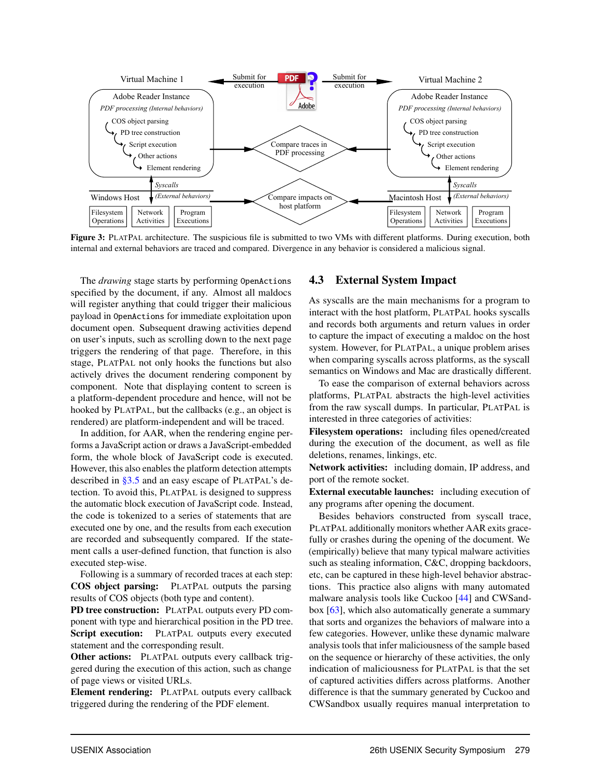

Figure 3: PLATPAL architecture. The suspicious file is submitted to two VMs with different platforms. During execution, both internal and external behaviors are traced and compared. Divergence in any behavior is considered a malicious signal.

The *drawing* stage starts by performing OpenActions specified by the document, if any. Almost all maldocs will register anything that could trigger their malicious payload in OpenActions for immediate exploitation upon document open. Subsequent drawing activities depend on user's inputs, such as scrolling down to the next page triggers the rendering of that page. Therefore, in this stage, PLATPAL not only hooks the functions but also actively drives the document rendering component by component. Note that displaying content to screen is a platform-dependent procedure and hence, will not be hooked by PLATPAL, but the callbacks (e.g., an object is rendered) are platform-independent and will be traced.

In addition, for AAR, when the rendering engine performs a JavaScript action or draws a JavaScript-embedded form, the whole block of JavaScript code is executed. However, this also enables the platform detection attempts described in §3.5 and an easy escape of PLATPAL's detection. To avoid this, PLATPAL is designed to suppress the automatic block execution of JavaScript code. Instead, the code is tokenized to a series of statements that are executed one by one, and the results from each execution are recorded and subsequently compared. If the statement calls a user-defined function, that function is also executed step-wise.

Following is a summary of recorded traces at each step: COS object parsing: PLATPAL outputs the parsing results of COS objects (both type and content).

PD tree construction: PLATPAL outputs every PD component with type and hierarchical position in the PD tree. Script execution: PLATPAL outputs every executed statement and the corresponding result.

Other actions: PLATPAL outputs every callback triggered during the execution of this action, such as change of page views or visited URLs.

Element rendering: PLATPAL outputs every callback triggered during the rendering of the PDF element.

#### 4.3 External System Impact

As syscalls are the main mechanisms for a program to interact with the host platform, PLATPAL hooks syscalls and records both arguments and return values in order to capture the impact of executing a maldoc on the host system. However, for PLATPAL, a unique problem arises when comparing syscalls across platforms, as the syscall semantics on Windows and Mac are drastically different.

To ease the comparison of external behaviors across platforms, PLATPAL abstracts the high-level activities from the raw syscall dumps. In particular, PLATPAL is interested in three categories of activities:

Filesystem operations: including files opened/created during the execution of the document, as well as file deletions, renames, linkings, etc.

Network activities: including domain, IP address, and port of the remote socket.

External executable launches: including execution of any programs after opening the document.

Besides behaviors constructed from syscall trace, PLATPAL additionally monitors whether AAR exits gracefully or crashes during the opening of the document. We (empirically) believe that many typical malware activities such as stealing information, C&C, dropping backdoors, etc, can be captured in these high-level behavior abstractions. This practice also aligns with many automated malware analysis tools like Cuckoo [44] and CWSandbox [63], which also automatically generate a summary that sorts and organizes the behaviors of malware into a few categories. However, unlike these dynamic malware analysis tools that infer maliciousness of the sample based on the sequence or hierarchy of these activities, the only indication of maliciousness for PLATPAL is that the set of captured activities differs across platforms. Another difference is that the summary generated by Cuckoo and CWSandbox usually requires manual interpretation to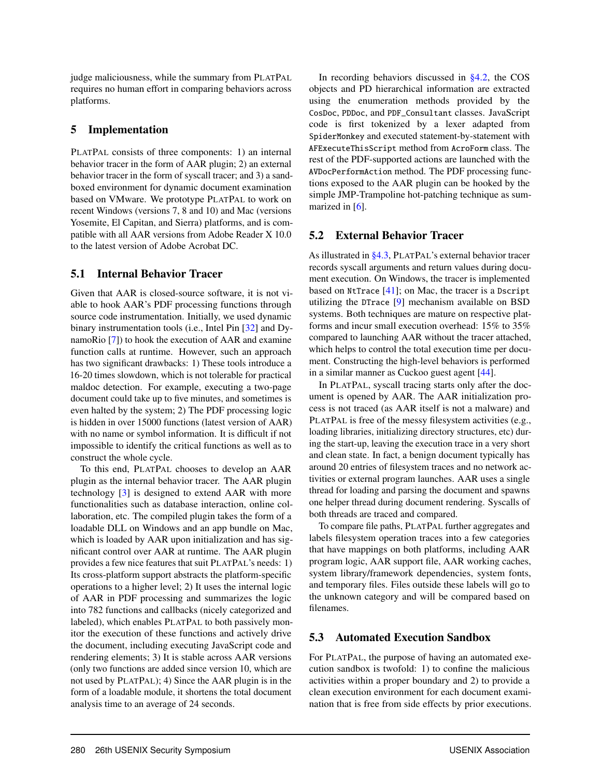judge maliciousness, while the summary from PLATPAL requires no human effort in comparing behaviors across platforms.

## 5 Implementation

PLATPAL consists of three components: 1) an internal behavior tracer in the form of AAR plugin; 2) an external behavior tracer in the form of syscall tracer; and 3) a sandboxed environment for dynamic document examination based on VMware. We prototype PLATPAL to work on recent Windows (versions 7, 8 and 10) and Mac (versions Yosemite, El Capitan, and Sierra) platforms, and is compatible with all AAR versions from Adobe Reader X 10.0 to the latest version of Adobe Acrobat DC.

# 5.1 Internal Behavior Tracer

Given that AAR is closed-source software, it is not viable to hook AAR's PDF processing functions through source code instrumentation. Initially, we used dynamic binary instrumentation tools (i.e., Intel Pin [32] and DynamoRio [7]) to hook the execution of AAR and examine function calls at runtime. However, such an approach has two significant drawbacks: 1) These tools introduce a 16-20 times slowdown, which is not tolerable for practical maldoc detection. For example, executing a two-page document could take up to five minutes, and sometimes is even halted by the system; 2) The PDF processing logic is hidden in over 15000 functions (latest version of AAR) with no name or symbol information. It is difficult if not impossible to identify the critical functions as well as to construct the whole cycle.

To this end, PLATPAL chooses to develop an AAR plugin as the internal behavior tracer. The AAR plugin technology [3] is designed to extend AAR with more functionalities such as database interaction, online collaboration, etc. The compiled plugin takes the form of a loadable DLL on Windows and an app bundle on Mac, which is loaded by AAR upon initialization and has significant control over AAR at runtime. The AAR plugin provides a few nice features that suit PLATPAL's needs: 1) Its cross-platform support abstracts the platform-specific operations to a higher level; 2) It uses the internal logic of AAR in PDF processing and summarizes the logic into 782 functions and callbacks (nicely categorized and labeled), which enables PLATPAL to both passively monitor the execution of these functions and actively drive the document, including executing JavaScript code and rendering elements; 3) It is stable across AAR versions (only two functions are added since version 10, which are not used by PLATPAL); 4) Since the AAR plugin is in the form of a loadable module, it shortens the total document analysis time to an average of 24 seconds.

In recording behaviors discussed in §4.2, the COS objects and PD hierarchical information are extracted using the enumeration methods provided by the CosDoc, PDDoc, and PDF\_Consultant classes. JavaScript code is first tokenized by a lexer adapted from SpiderMonkey and executed statement-by-statement with AFExecuteThisScript method from AcroForm class. The rest of the PDF-supported actions are launched with the AVDocPerformAction method. The PDF processing functions exposed to the AAR plugin can be hooked by the simple JMP-Trampoline hot-patching technique as summarized in  $[6]$ .

# 5.2 External Behavior Tracer

As illustrated in §4.3, PLATPAL's external behavior tracer records syscall arguments and return values during document execution. On Windows, the tracer is implemented based on NtTrace  $[41]$ ; on Mac, the tracer is a Dscript utilizing the DTrace [9] mechanism available on BSD systems. Both techniques are mature on respective platforms and incur small execution overhead: 15% to 35% compared to launching AAR without the tracer attached, which helps to control the total execution time per document. Constructing the high-level behaviors is performed in a similar manner as Cuckoo guest agent [44].

In PLATPAL, syscall tracing starts only after the document is opened by AAR. The AAR initialization process is not traced (as AAR itself is not a malware) and PLATPAL is free of the messy filesystem activities (e.g., loading libraries, initializing directory structures, etc) during the start-up, leaving the execution trace in a very short and clean state. In fact, a benign document typically has around 20 entries of filesystem traces and no network activities or external program launches. AAR uses a single thread for loading and parsing the document and spawns one helper thread during document rendering. Syscalls of both threads are traced and compared.

To compare file paths, PLATPAL further aggregates and labels filesystem operation traces into a few categories that have mappings on both platforms, including AAR program logic, AAR support file, AAR working caches, system library/framework dependencies, system fonts, and temporary files. Files outside these labels will go to the unknown category and will be compared based on filenames.

# 5.3 Automated Execution Sandbox

For PLATPAL, the purpose of having an automated execution sandbox is twofold: 1) to confine the malicious activities within a proper boundary and 2) to provide a clean execution environment for each document examination that is free from side effects by prior executions.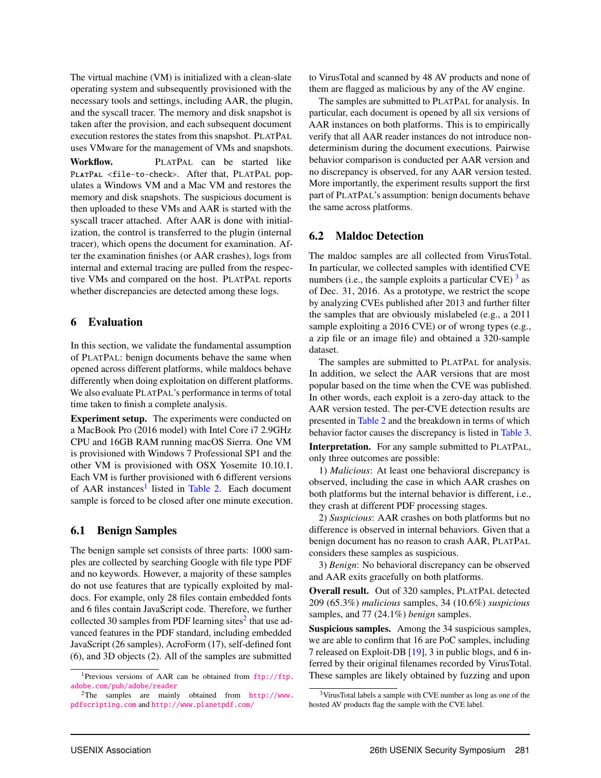The virtual machine (VM) is initialized with a clean-slate operating system and subsequently provisioned with the necessary tools and settings, including AAR, the plugin, and the syscall tracer. The memory and disk snapshot is taken after the provision, and each subsequent document execution restores the states from this snapshot. PLATPAL uses VMware for the management of VMs and snapshots.

Workflow. PLATPAL can be started like PlatPal <file-to-check>. After that, PLATPAL populates a Windows VM and a Mac VM and restores the memory and disk snapshots. The suspicious document is then uploaded to these VMs and AAR is started with the syscall tracer attached. After AAR is done with initialization, the control is transferred to the plugin (internal tracer), which opens the document for examination. After the examination finishes (or AAR crashes), logs from internal and external tracing are pulled from the respective VMs and compared on the host. PLATPAL reports whether discrepancies are detected among these logs.

## 6 Evaluation

In this section, we validate the fundamental assumption of PLATPAL: benign documents behave the same when opened across different platforms, while maldocs behave differently when doing exploitation on different platforms. We also evaluate PLATPAL's performance in terms of total time taken to finish a complete analysis.

Experiment setup. The experiments were conducted on a MacBook Pro (2016 model) with Intel Core i7 2.9GHz CPU and 16GB RAM running macOS Sierra. One VM is provisioned with Windows 7 Professional SP1 and the other VM is provisioned with OSX Yosemite 10.10.1. Each VM is further provisioned with 6 different versions of AAR instances<sup>1</sup> listed in Table 2. Each document sample is forced to be closed after one minute execution.

# 6.1 Benign Samples

The benign sample set consists of three parts: 1000 samples are collected by searching Google with file type PDF and no keywords. However, a majority of these samples do not use features that are typically exploited by maldocs. For example, only 28 files contain embedded fonts and 6 files contain JavaScript code. Therefore, we further collected 30 samples from PDF learning sites<sup>2</sup> that use advanced features in the PDF standard, including embedded JavaScript (26 samples), AcroForm (17), self-defined font (6), and 3D objects (2). All of the samples are submitted

to VirusTotal and scanned by 48 AV products and none of them are flagged as malicious by any of the AV engine.

The samples are submitted to PLATPAL for analysis. In particular, each document is opened by all six versions of AAR instances on both platforms. This is to empirically verify that all AAR reader instances do not introduce nondeterminism during the document executions. Pairwise behavior comparison is conducted per AAR version and no discrepancy is observed, for any AAR version tested. More importantly, the experiment results support the first part of PLATPAL's assumption: benign documents behave the same across platforms.

# 6.2 Maldoc Detection

The maldoc samples are all collected from VirusTotal. In particular, we collected samples with identified CVE numbers (i.e., the sample exploits a particular CVE)  $3$  as of Dec. 31, 2016. As a prototype, we restrict the scope by analyzing CVEs published after 2013 and further filter the samples that are obviously mislabeled (e.g., a 2011 sample exploiting a 2016 CVE) or of wrong types (e.g., a zip file or an image file) and obtained a 320-sample dataset.

The samples are submitted to PLATPAL for analysis. In addition, we select the AAR versions that are most popular based on the time when the CVE was published. In other words, each exploit is a zero-day attack to the AAR version tested. The per-CVE detection results are presented in Table 2 and the breakdown in terms of which behavior factor causes the discrepancy is listed in Table 3.

Interpretation. For any sample submitted to PLATPAL, only three outcomes are possible:

1) *Malicious*: At least one behavioral discrepancy is observed, including the case in which AAR crashes on both platforms but the internal behavior is different, i.e., they crash at different PDF processing stages.

2) *Suspicious*: AAR crashes on both platforms but no difference is observed in internal behaviors. Given that a benign document has no reason to crash AAR, PLATPAL considers these samples as suspicious.

3) *Benign*: No behavioral discrepancy can be observed and AAR exits gracefully on both platforms.

Overall result. Out of 320 samples, PLATPAL detected 209 (65.3%) *malicious* samples, 34 (10.6%) *suspicious* samples, and 77 (24.1%) *benign* samples.

Suspicious samples. Among the 34 suspicious samples, we are able to confirm that 16 are PoC samples, including 7 released on Exploit-DB [19], 3 in public blogs, and 6 inferred by their original filenames recorded by VirusTotal. These samples are likely obtained by fuzzing and upon

<sup>1</sup>Previous versions of AAR can be obtained from [ftp://ftp.](ftp://ftp.adobe.com/pub/adobe/reader) [adobe.com/pub/adobe/reader](ftp://ftp.adobe.com/pub/adobe/reader)

<sup>&</sup>lt;sup>2</sup>The samples are mainly obtained from  $http://www.$ [pdfscripting.com](http://www.pdfscripting.com) and <http://www.planetpdf.com/>

<sup>3</sup>VirusTotal labels a sample with CVE number as long as one of the hosted AV products flag the sample with the CVE label.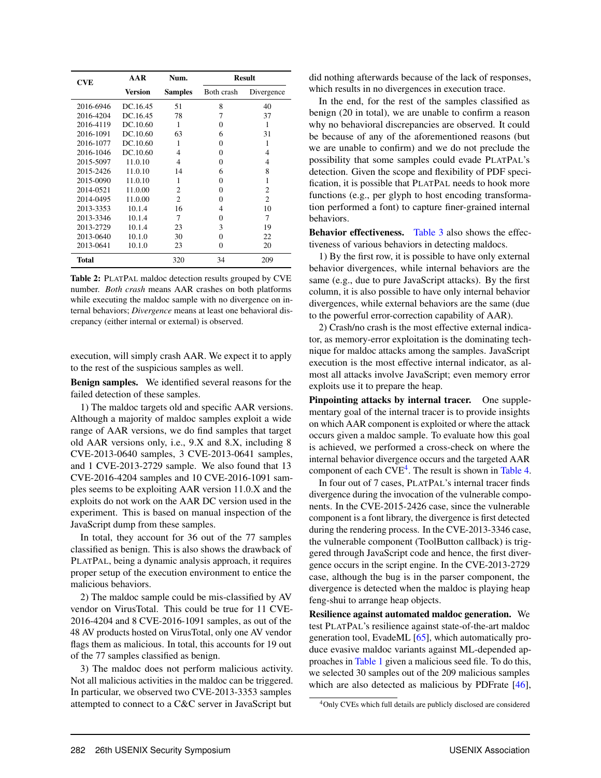| <b>CVE</b> | AAR            | Num.           | <b>Result</b> |                |
|------------|----------------|----------------|---------------|----------------|
|            | <b>Version</b> | <b>Samples</b> | Both crash    | Divergence     |
| 2016-6946  | DC.16.45       | 51             | 8             | 40             |
| 2016-4204  | DC.16.45       | 78             | 7             | 37             |
| 2016-4119  | DC.10.60       | 1              | $\Omega$      | 1              |
| 2016-1091  | DC.10.60       | 63             | 6             | 31             |
| 2016-1077  | DC.10.60       | 1              | $\Omega$      | 1              |
| 2016-1046  | DC.10.60       | 4              | $\Omega$      | 4              |
| 2015-5097  | 11.0.10        | 4              | $\Omega$      | 4              |
| 2015-2426  | 11.0.10        | 14             | 6             | 8              |
| 2015-0090  | 11.0.10        | 1              | 0             | 1              |
| 2014-0521  | 11.0.00        | $\mathfrak{D}$ | $\Omega$      | $\overline{c}$ |
| 2014-0495  | 11.0.00        | $\mathfrak{D}$ | $\Omega$      | $\mathfrak{D}$ |
| 2013-3353  | 10.1.4         | 16             | 4             | 10             |
| 2013-3346  | 10.1.4         | 7              | $\Omega$      | 7              |
| 2013-2729  | 10.1.4         | 23             | 3             | 19             |
| 2013-0640  | 10.1.0         | 30             | $\Omega$      | 22             |
| 2013-0641  | 10.1.0         | 23             | $\Omega$      | 20             |
| Total      |                | 320            | 34            | 209            |

Table 2: PLATPAL maldoc detection results grouped by CVE number. *Both crash* means AAR crashes on both platforms while executing the maldoc sample with no divergence on internal behaviors; *Divergence* means at least one behavioral discrepancy (either internal or external) is observed.

execution, will simply crash AAR. We expect it to apply to the rest of the suspicious samples as well.

Benign samples. We identified several reasons for the failed detection of these samples.

1) The maldoc targets old and specific AAR versions. Although a majority of maldoc samples exploit a wide range of AAR versions, we do find samples that target old AAR versions only, i.e., 9.X and 8.X, including 8 CVE-2013-0640 samples, 3 CVE-2013-0641 samples, and 1 CVE-2013-2729 sample. We also found that 13 CVE-2016-4204 samples and 10 CVE-2016-1091 samples seems to be exploiting AAR version 11.0.X and the exploits do not work on the AAR DC version used in the experiment. This is based on manual inspection of the JavaScript dump from these samples.

In total, they account for 36 out of the 77 samples classified as benign. This is also shows the drawback of PLATPAL, being a dynamic analysis approach, it requires proper setup of the execution environment to entice the malicious behaviors.

2) The maldoc sample could be mis-classified by AV vendor on VirusTotal. This could be true for 11 CVE-2016-4204 and 8 CVE-2016-1091 samples, as out of the 48 AV products hosted on VirusTotal, only one AV vendor flags them as malicious. In total, this accounts for 19 out of the 77 samples classified as benign.

3) The maldoc does not perform malicious activity. Not all malicious activities in the maldoc can be triggered. In particular, we observed two CVE-2013-3353 samples attempted to connect to a C&C server in JavaScript but

did nothing afterwards because of the lack of responses, which results in no divergences in execution trace.

In the end, for the rest of the samples classified as benign (20 in total), we are unable to confirm a reason why no behavioral discrepancies are observed. It could be because of any of the aforementioned reasons (but we are unable to confirm) and we do not preclude the possibility that some samples could evade PLATPAL's detection. Given the scope and flexibility of PDF specification, it is possible that PLATPAL needs to hook more functions (e.g., per glyph to host encoding transformation performed a font) to capture finer-grained internal behaviors.

Behavior effectiveness. Table 3 also shows the effectiveness of various behaviors in detecting maldocs.

1) By the first row, it is possible to have only external behavior divergences, while internal behaviors are the same (e.g., due to pure JavaScript attacks). By the first column, it is also possible to have only internal behavior divergences, while external behaviors are the same (due to the powerful error-correction capability of AAR).

2) Crash/no crash is the most effective external indicator, as memory-error exploitation is the dominating technique for maldoc attacks among the samples. JavaScript execution is the most effective internal indicator, as almost all attacks involve JavaScript; even memory error exploits use it to prepare the heap.

Pinpointing attacks by internal tracer. One supplementary goal of the internal tracer is to provide insights on which AAR component is exploited or where the attack occurs given a maldoc sample. To evaluate how this goal is achieved, we performed a cross-check on where the internal behavior divergence occurs and the targeted AAR component of each CVE<sup>4</sup>. The result is shown in Table 4.

In four out of 7 cases, PLATPAL's internal tracer finds divergence during the invocation of the vulnerable components. In the CVE-2015-2426 case, since the vulnerable component is a font library, the divergence is first detected during the rendering process. In the CVE-2013-3346 case, the vulnerable component (ToolButton callback) is triggered through JavaScript code and hence, the first divergence occurs in the script engine. In the CVE-2013-2729 case, although the bug is in the parser component, the divergence is detected when the maldoc is playing heap feng-shui to arrange heap objects.

Resilience against automated maldoc generation. We test PLATPAL's resilience against state-of-the-art maldoc generation tool, EvadeML [65], which automatically produce evasive maldoc variants against ML-depended approaches in Table 1 given a malicious seed file. To do this, we selected 30 samples out of the 209 malicious samples which are also detected as malicious by PDFrate [46],

<sup>4</sup>Only CVEs which full details are publicly disclosed are considered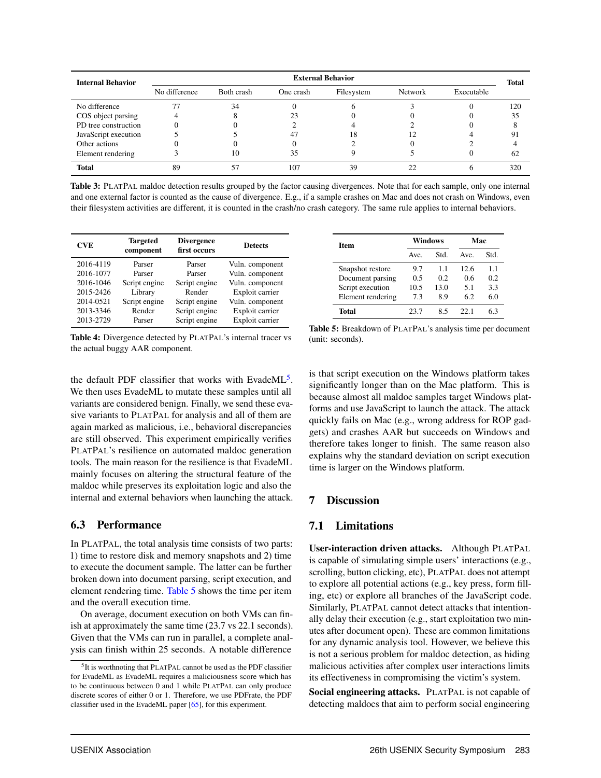| <b>Internal Behavior</b> | <b>External Behavior</b> |            |           |            |                |            | <b>Total</b> |
|--------------------------|--------------------------|------------|-----------|------------|----------------|------------|--------------|
|                          | No difference            | Both crash | One crash | Filesystem | <b>Network</b> | Executable |              |
| No difference            |                          | 34         |           |            |                |            | 120          |
| COS object parsing       |                          |            | 23        |            |                |            | 35           |
| PD tree construction     |                          |            |           |            |                |            |              |
| JavaScript execution     |                          |            | 47        | 18         |                |            | 91           |
| Other actions            |                          |            |           |            |                |            |              |
| Element rendering        |                          |            | 35        |            |                |            | 62           |
| <b>Total</b>             | 89                       |            | 107       | 39         |                |            | 320          |

Table 3: PLATPAL maldoc detection results grouped by the factor causing divergences. Note that for each sample, only one internal and one external factor is counted as the cause of divergence. E.g., if a sample crashes on Mac and does not crash on Windows, even their filesystem activities are different, it is counted in the crash/no crash category. The same rule applies to internal behaviors.

| <b>CVE</b> | <b>Targeted</b><br>component | <b>Divergence</b><br>first occurs | <b>Detects</b>  |
|------------|------------------------------|-----------------------------------|-----------------|
| 2016-4119  | Parser                       | Parser                            | Vuln. component |
| 2016-1077  | Parser                       | Parser                            | Vuln. component |
| 2016-1046  | Script engine                | Script engine                     | Vuln. component |
| 2015-2426  | Library                      | Render                            | Exploit carrier |
| 2014-0521  | Script engine                | Script engine                     | Vuln. component |
| 2013-3346  | Render                       | Script engine                     | Exploit carrier |
| 2013-2729  | Parser                       | Script engine                     | Exploit carrier |

Table 4: Divergence detected by PLATPAL's internal tracer vs the actual buggy AAR component.

the default PDF classifier that works with EvadeML<sup>5</sup>. We then uses EvadeML to mutate these samples until all variants are considered benign. Finally, we send these evasive variants to PLATPAL for analysis and all of them are again marked as malicious, i.e., behavioral discrepancies are still observed. This experiment empirically verifies PLATPAL's resilience on automated maldoc generation tools. The main reason for the resilience is that EvadeML mainly focuses on altering the structural feature of the maldoc while preserves its exploitation logic and also the internal and external behaviors when launching the attack.

## 6.3 Performance

In PLATPAL, the total analysis time consists of two parts: 1) time to restore disk and memory snapshots and 2) time to execute the document sample. The latter can be further broken down into document parsing, script execution, and element rendering time. Table 5 shows the time per item and the overall execution time.

On average, document execution on both VMs can finish at approximately the same time (23.7 vs 22.1 seconds). Given that the VMs can run in parallel, a complete analysis can finish within 25 seconds. A notable difference

| <b>Item</b>       |      | Windows | Mac  |      |
|-------------------|------|---------|------|------|
|                   | Ave. | Std.    | Ave. | Std. |
| Snapshot restore  | 9.7  | 1.1     | 12.6 | 1.1  |
| Document parsing  | 0.5  | 0.2     | 06   | 0.2  |
| Script execution  | 10.5 | 13.0    | 5.1  | 3.3  |
| Element rendering | 7.3  | 8.9     | 62   | 60   |
| Total             | 23.7 | 85      | 22 I | 6 3  |

Table 5: Breakdown of PLATPAL's analysis time per document (unit: seconds).

is that script execution on the Windows platform takes significantly longer than on the Mac platform. This is because almost all maldoc samples target Windows platforms and use JavaScript to launch the attack. The attack quickly fails on Mac (e.g., wrong address for ROP gadgets) and crashes AAR but succeeds on Windows and therefore takes longer to finish. The same reason also explains why the standard deviation on script execution time is larger on the Windows platform.

## 7 Discussion

## 7.1 Limitations

User-interaction driven attacks. Although PLATPAL is capable of simulating simple users' interactions (e.g., scrolling, button clicking, etc), PLATPAL does not attempt to explore all potential actions (e.g., key press, form filling, etc) or explore all branches of the JavaScript code. Similarly, PLATPAL cannot detect attacks that intentionally delay their execution (e.g., start exploitation two minutes after document open). These are common limitations for any dynamic analysis tool. However, we believe this is not a serious problem for maldoc detection, as hiding malicious activities after complex user interactions limits its effectiveness in compromising the victim's system.

Social engineering attacks. PLATPAL is not capable of detecting maldocs that aim to perform social engineering

<sup>&</sup>lt;sup>5</sup>It is worthnoting that PLATPAL cannot be used as the PDF classifier for EvadeML as EvadeML requires a maliciousness score which has to be continuous between 0 and 1 while PLATPAL can only produce discrete scores of either 0 or 1. Therefore, we use PDFrate, the PDF classifier used in the EvadeML paper [65], for this experiment.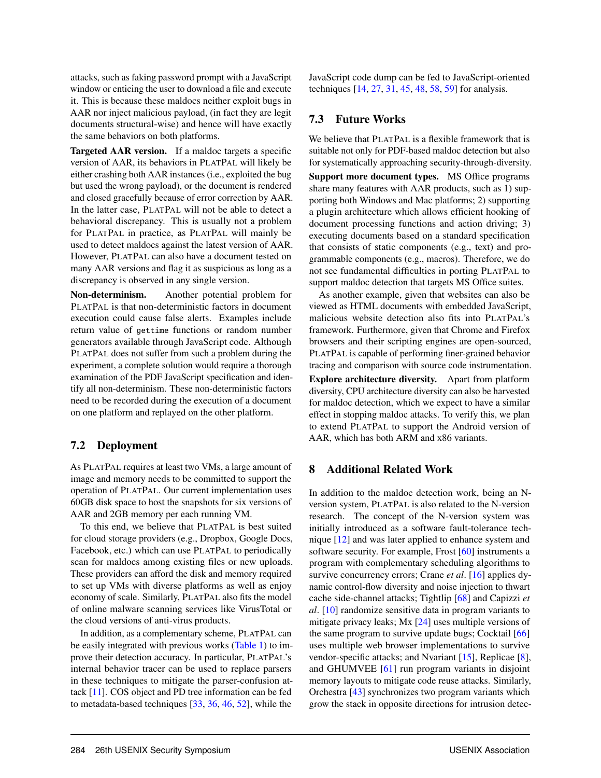attacks, such as faking password prompt with a JavaScript window or enticing the user to download a file and execute it. This is because these maldocs neither exploit bugs in AAR nor inject malicious payload, (in fact they are legit documents structural-wise) and hence will have exactly the same behaviors on both platforms.

Targeted AAR version. If a maldoc targets a specific version of AAR, its behaviors in PLATPAL will likely be either crashing both AAR instances (i.e., exploited the bug but used the wrong payload), or the document is rendered and closed gracefully because of error correction by AAR. In the latter case, PLATPAL will not be able to detect a behavioral discrepancy. This is usually not a problem for PLATPAL in practice, as PLATPAL will mainly be used to detect maldocs against the latest version of AAR. However, PLATPAL can also have a document tested on many AAR versions and flag it as suspicious as long as a discrepancy is observed in any single version.

Non-determinism. Another potential problem for PLATPAL is that non-deterministic factors in document execution could cause false alerts. Examples include return value of gettime functions or random number generators available through JavaScript code. Although PLATPAL does not suffer from such a problem during the experiment, a complete solution would require a thorough examination of the PDF JavaScript specification and identify all non-determinism. These non-deterministic factors need to be recorded during the execution of a document on one platform and replayed on the other platform.

#### 7.2 Deployment

As PLATPAL requires at least two VMs, a large amount of image and memory needs to be committed to support the operation of PLATPAL. Our current implementation uses 60GB disk space to host the snapshots for six versions of AAR and 2GB memory per each running VM.

To this end, we believe that PLATPAL is best suited for cloud storage providers (e.g., Dropbox, Google Docs, Facebook, etc.) which can use PLATPAL to periodically scan for maldocs among existing files or new uploads. These providers can afford the disk and memory required to set up VMs with diverse platforms as well as enjoy economy of scale. Similarly, PLATPAL also fits the model of online malware scanning services like VirusTotal or the cloud versions of anti-virus products.

In addition, as a complementary scheme, PLATPAL can be easily integrated with previous works (Table 1) to improve their detection accuracy. In particular, PLATPAL's internal behavior tracer can be used to replace parsers in these techniques to mitigate the parser-confusion attack [11]. COS object and PD tree information can be fed to metadata-based techniques [33, 36, 46, 52], while the

JavaScript code dump can be fed to JavaScript-oriented techniques [14, 27, 31, 45, 48, 58, 59] for analysis.

## 7.3 Future Works

We believe that PLATPAL is a flexible framework that is suitable not only for PDF-based maldoc detection but also for systematically approaching security-through-diversity. Support more document types. MS Office programs share many features with AAR products, such as 1) supporting both Windows and Mac platforms; 2) supporting a plugin architecture which allows efficient hooking of document processing functions and action driving; 3) executing documents based on a standard specification that consists of static components (e.g., text) and programmable components (e.g., macros). Therefore, we do not see fundamental difficulties in porting PLATPAL to support maldoc detection that targets MS Office suites.

As another example, given that websites can also be viewed as HTML documents with embedded JavaScript, malicious website detection also fits into PLATPAL's framework. Furthermore, given that Chrome and Firefox browsers and their scripting engines are open-sourced, PLATPAL is capable of performing finer-grained behavior tracing and comparison with source code instrumentation. Explore architecture diversity. Apart from platform diversity, CPU architecture diversity can also be harvested for maldoc detection, which we expect to have a similar effect in stopping maldoc attacks. To verify this, we plan to extend PLATPAL to support the Android version of AAR, which has both ARM and x86 variants.

#### 8 Additional Related Work

In addition to the maldoc detection work, being an Nversion system, PLATPAL is also related to the N-version research. The concept of the N-version system was initially introduced as a software fault-tolerance technique [12] and was later applied to enhance system and software security. For example, Frost [60] instruments a program with complementary scheduling algorithms to survive concurrency errors; Crane *et al*. [16] applies dynamic control-flow diversity and noise injection to thwart cache side-channel attacks; Tightlip [68] and Capizzi *et al*. [10] randomize sensitive data in program variants to mitigate privacy leaks; Mx [24] uses multiple versions of the same program to survive update bugs; Cocktail [66] uses multiple web browser implementations to survive vendor-specific attacks; and Nvariant [15], Replicae [8], and GHUMVEE [61] run program variants in disjoint memory layouts to mitigate code reuse attacks. Similarly, Orchestra [43] synchronizes two program variants which grow the stack in opposite directions for intrusion detec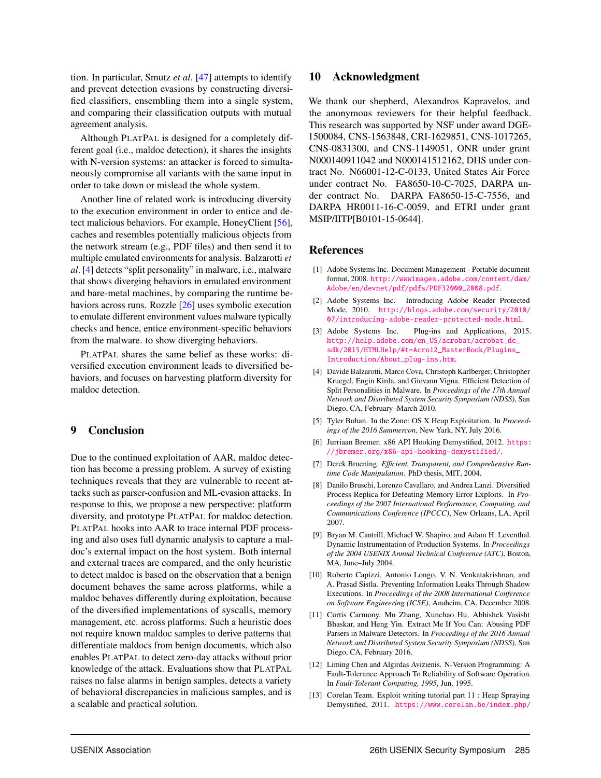tion. In particular, Smutz *et al*. [47] attempts to identify and prevent detection evasions by constructing diversified classifiers, ensembling them into a single system, and comparing their classification outputs with mutual agreement analysis.

Although PLATPAL is designed for a completely different goal (i.e., maldoc detection), it shares the insights with N-version systems: an attacker is forced to simultaneously compromise all variants with the same input in order to take down or mislead the whole system.

Another line of related work is introducing diversity to the execution environment in order to entice and detect malicious behaviors. For example, HoneyClient [56], caches and resembles potentially malicious objects from the network stream (e.g., PDF files) and then send it to multiple emulated environments for analysis. Balzarotti *et al*. [4] detects "split personality" in malware, i.e., malware that shows diverging behaviors in emulated environment and bare-metal machines, by comparing the runtime behaviors across runs. Rozzle [26] uses symbolic execution to emulate different environment values malware typically checks and hence, entice environment-specific behaviors from the malware. to show diverging behaviors.

PLATPAL shares the same belief as these works: diversified execution environment leads to diversified behaviors, and focuses on harvesting platform diversity for maldoc detection.

#### 9 Conclusion

Due to the continued exploitation of AAR, maldoc detection has become a pressing problem. A survey of existing techniques reveals that they are vulnerable to recent attacks such as parser-confusion and ML-evasion attacks. In response to this, we propose a new perspective: platform diversity, and prototype PLATPAL for maldoc detection. PLATPAL hooks into AAR to trace internal PDF processing and also uses full dynamic analysis to capture a maldoc's external impact on the host system. Both internal and external traces are compared, and the only heuristic to detect maldoc is based on the observation that a benign document behaves the same across platforms, while a maldoc behaves differently during exploitation, because of the diversified implementations of syscalls, memory management, etc. across platforms. Such a heuristic does not require known maldoc samples to derive patterns that differentiate maldocs from benign documents, which also enables PLATPAL to detect zero-day attacks without prior knowledge of the attack. Evaluations show that PLATPAL raises no false alarms in benign samples, detects a variety of behavioral discrepancies in malicious samples, and is a scalable and practical solution.

#### 10 Acknowledgment

We thank our shepherd, Alexandros Kapravelos, and the anonymous reviewers for their helpful feedback. This research was supported by NSF under award DGE-1500084, CNS-1563848, CRI-1629851, CNS-1017265, CNS-0831300, and CNS-1149051, ONR under grant N000140911042 and N000141512162, DHS under contract No. N66001-12-C-0133, United States Air Force under contract No. FA8650-10-C-7025, DARPA under contract No. DARPA FA8650-15-C-7556, and DARPA HR0011-16-C-0059, and ETRI under grant MSIP/IITP[B0101-15-0644].

#### References

- [1] Adobe Systems Inc. Document Management Portable document format, 2008. [http://wwwimages.adobe.com/content/dam/](http://wwwimages.adobe.com/content/dam/Adobe/en/devnet/pdf/pdfs/PDF32000_2008.pdf) [Adobe/en/devnet/pdf/pdfs/PDF32000\\_2008.pdf](http://wwwimages.adobe.com/content/dam/Adobe/en/devnet/pdf/pdfs/PDF32000_2008.pdf).
- [2] Adobe Systems Inc. Introducing Adobe Reader Protected Mode, 2010. [http://blogs.adobe.com/security/2010/](http://blogs.adobe.com/security/2010/07/introducing-adobe-reader-protected-mode.html) [07/introducing-adobe-reader-protected-mode.html](http://blogs.adobe.com/security/2010/07/introducing-adobe-reader-protected-mode.html).
- [3] Adobe Systems Inc. Plug-ins and Applications, 2015. [http://help.adobe.com/en\\_US/acrobat/acrobat\\_dc\\_](http://help.adobe.com/en_US/acrobat/acrobat_dc_sdk/2015/HTMLHelp/#t=Acro12_MasterBook/Plugins_Introduction/About_plug-ins.htm) [sdk/2015/HTMLHelp/#t=Acro12\\_MasterBook/Plugins\\_](http://help.adobe.com/en_US/acrobat/acrobat_dc_sdk/2015/HTMLHelp/#t=Acro12_MasterBook/Plugins_Introduction/About_plug-ins.htm) [Introduction/About\\_plug-ins.htm](http://help.adobe.com/en_US/acrobat/acrobat_dc_sdk/2015/HTMLHelp/#t=Acro12_MasterBook/Plugins_Introduction/About_plug-ins.htm).
- [4] Davide Balzarotti, Marco Cova, Christoph Karlberger, Christopher Kruegel, Engin Kirda, and Giovann Vigna. Efficient Detection of Split Personalities in Malware. In *Proceedings of the 17th Annual Network and Distributed System Security Symposium (NDSS)*, San Diego, CA, February–March 2010.
- [5] Tyler Bohan. In the Zone: OS X Heap Exploitation. In *Proceedings of the 2016 Summercon*, New Yark, NY, July 2016.
- [6] Jurriaan Bremer. x86 API Hooking Demystified, 2012. [https:](https://jbremer.org/x86-api-hooking-demystified/) [//jbremer.org/x86-api-hooking-demystified/](https://jbremer.org/x86-api-hooking-demystified/).
- [7] Derek Bruening. *Efficient, Transparent, and Comprehensive Runtime Code Manipulation*. PhD thesis, MIT, 2004.
- [8] Danilo Bruschi, Lorenzo Cavallaro, and Andrea Lanzi. Diversified Process Replica for Defeating Memory Error Exploits. In *Proceedings of the 2007 International Performance, Computing, and Communications Conference (IPCCC)*, New Orleans, LA, April 2007.
- [9] Bryan M. Cantrill, Michael W. Shapiro, and Adam H. Leventhal. Dynamic Instrumentation of Production Systems. In *Proceedings of the 2004 USENIX Annual Technical Conference (ATC)*, Boston, MA, June–July 2004.
- [10] Roberto Capizzi, Antonio Longo, V. N. Venkatakrishnan, and A. Prasad Sistla. Preventing Information Leaks Through Shadow Executions. In *Proceedings of the 2008 International Conference on Software Engineering (ICSE)*, Anaheim, CA, December 2008.
- [11] Curtis Carmony, Mu Zhang, Xunchao Hu, Abhishek Vasisht Bhaskar, and Heng Yin. Extract Me If You Can: Abusing PDF Parsers in Malware Detectors. In *Proceedings of the 2016 Annual Network and Distributed System Security Symposium (NDSS)*, San Diego, CA, February 2016.
- [12] Liming Chen and Algirdas Avizienis. N-Version Programming: A Fault-Tolerance Approach To Reliability of Software Operation. In *Fault-Tolerant Computing, 1995*, Jun. 1995.
- [13] Corelan Team. Exploit writing tutorial part 11 : Heap Spraying Demystified, 2011. [https://www.corelan.be/index.php/](https://www.corelan.be/index.php/2011/12/31/exploit-writing-tutorial-part-11-heap-spraying-demystified)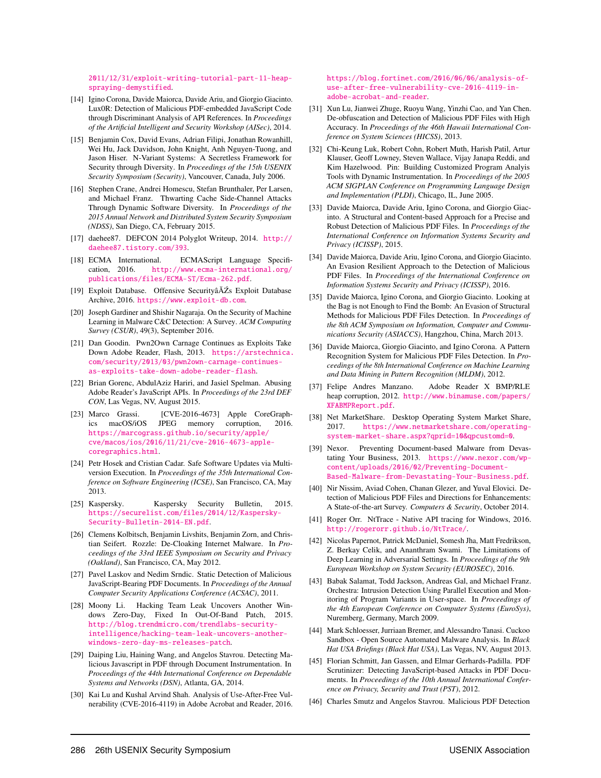[2011/12/31/exploit-writing-tutorial-part-11-heap](https://www.corelan.be/index.php/2011/12/31/exploit-writing-tutorial-part-11-heap-spraying-demystified)[spraying-demystified](https://www.corelan.be/index.php/2011/12/31/exploit-writing-tutorial-part-11-heap-spraying-demystified).

- [14] Igino Corona, Davide Maiorca, Davide Ariu, and Giorgio Giacinto. Lux0R: Detection of Malicious PDF-embedded JavaScript Code through Discriminant Analysis of API References. In *Proceedings of the Artificial Intelligent and Security Workshop (AISec)*, 2014.
- [15] Benjamin Cox, David Evans, Adrian Filipi, Jonathan Rowanhill, Wei Hu, Jack Davidson, John Knight, Anh Nguyen-Tuong, and Jason Hiser. N-Variant Systems: A Secretless Framework for Security through Diversity. In *Proceedings of the 15th USENIX Security Symposium (Security)*, Vancouver, Canada, July 2006.
- [16] Stephen Crane, Andrei Homescu, Stefan Brunthaler, Per Larsen, and Michael Franz. Thwarting Cache Side-Channel Attacks Through Dynamic Software Diversity. In *Proceedings of the 2015 Annual Network and Distributed System Security Symposium (NDSS)*, San Diego, CA, February 2015.
- [17] daehee87. DEFCON 2014 Polyglot Writeup, 2014. [http://](http://daehee87.tistory.com/393) [daehee87.tistory.com/393](http://daehee87.tistory.com/393).
- [18] ECMA International. ECMAScript Language Specification, 2016. [http://www.ecma-international.org/](http://www.ecma-international.org/publications/files/ECMA-ST/Ecma-262.pdf) [publications/files/ECMA-ST/Ecma-262.pdf](http://www.ecma-international.org/publications/files/ECMA-ST/Ecma-262.pdf).
- [19] Exploit Database. Offensive SecurityâĂŹs Exploit Database Archive, 2016. <https://www.exploit-db.com>.
- [20] Joseph Gardiner and Shishir Nagaraja. On the Security of Machine Learning in Malware C&C Detection: A Survey. *ACM Computing Survey (CSUR)*, 49(3), September 2016.
- [21] Dan Goodin. Pwn2Own Carnage Continues as Exploits Take Down Adobe Reader, Flash, 2013. [https://arstechnica.](https://arstechnica.com/security/2013/03/pwn2own-carnage-continues-as-exploits-take-down-adobe-reader-flash) [com/security/2013/03/pwn2own-carnage-continues](https://arstechnica.com/security/2013/03/pwn2own-carnage-continues-as-exploits-take-down-adobe-reader-flash)[as-exploits-take-down-adobe-reader-flash](https://arstechnica.com/security/2013/03/pwn2own-carnage-continues-as-exploits-take-down-adobe-reader-flash).
- [22] Brian Gorenc, AbdulAziz Hariri, and Jasiel Spelman. Abusing Adobe Reader's JavaScript APIs. In *Proceedings of the 23rd DEF CON*, Las Vegas, NV, August 2015.
- [23] Marco Grassi. [CVE-2016-4673] Apple CoreGraphics macOS/iOS JPEG memory corruption, 2016. [https://marcograss.github.io/security/apple/](https://marcograss.github.io/security/apple/cve/macos/ios/2016/11/21/cve-2016-4673-apple-coregraphics.html) [cve/macos/ios/2016/11/21/cve-2016-4673-apple](https://marcograss.github.io/security/apple/cve/macos/ios/2016/11/21/cve-2016-4673-apple-coregraphics.html)[coregraphics.html](https://marcograss.github.io/security/apple/cve/macos/ios/2016/11/21/cve-2016-4673-apple-coregraphics.html).
- [24] Petr Hosek and Cristian Cadar. Safe Software Updates via Multiversion Execution. In *Proceedings of the 35th International Conference on Software Engineering (ICSE)*, San Francisco, CA, May 2013.
- [25] Kaspersky. Kaspersky Security Bulletin, 2015. [https://securelist.com/files/2014/12/Kaspersky-](https://securelist.com/files/2014/12/Kaspersky-Security-Bulletin-2014-EN.pdf)[Security-Bulletin-2014-EN.pdf](https://securelist.com/files/2014/12/Kaspersky-Security-Bulletin-2014-EN.pdf).
- [26] Clemens Kolbitsch, Benjamin Livshits, Benjamin Zorn, and Christian Seifert. Rozzle: De-Cloaking Internet Malware. In *Proceedings of the 33rd IEEE Symposium on Security and Privacy (Oakland)*, San Francisco, CA, May 2012.
- [27] Pavel Laskov and Nedim Srndic. Static Detection of Malicious JavaScript-Bearing PDF Documents. In *Proceedings of the Annual Computer Security Applications Conference (ACSAC)*, 2011.
- [28] Moony Li. Hacking Team Leak Uncovers Another Windows Zero-Day, Fixed In Out-Of-Band Patch, 2015. [http://blog.trendmicro.com/trendlabs-security](http://blog.trendmicro.com/trendlabs-security-intelligence/hacking-team-leak-uncovers-another-windows-zero-day-ms-releases-patch)[intelligence/hacking-team-leak-uncovers-another](http://blog.trendmicro.com/trendlabs-security-intelligence/hacking-team-leak-uncovers-another-windows-zero-day-ms-releases-patch)[windows-zero-day-ms-releases-patch](http://blog.trendmicro.com/trendlabs-security-intelligence/hacking-team-leak-uncovers-another-windows-zero-day-ms-releases-patch).
- [29] Daiping Liu, Haining Wang, and Angelos Stavrou. Detecting Malicious Javascript in PDF through Document Instrumentation. In *Proceedings of the 44th International Conference on Dependable Systems and Networks (DSN)*, Atlanta, GA, 2014.
- [30] Kai Lu and Kushal Arvind Shah. Analysis of Use-After-Free Vulnerability (CVE-2016-4119) in Adobe Acrobat and Reader, 2016.

[https://blog.fortinet.com/2016/06/06/analysis-of](https://blog.fortinet.com/2016/06/06/analysis-of-use-after-free-vulnerability-cve-2016-4119-in-adobe-acrobat-and-reader)[use-after-free-vulnerability-cve-2016-4119-in](https://blog.fortinet.com/2016/06/06/analysis-of-use-after-free-vulnerability-cve-2016-4119-in-adobe-acrobat-and-reader)[adobe-acrobat-and-reader](https://blog.fortinet.com/2016/06/06/analysis-of-use-after-free-vulnerability-cve-2016-4119-in-adobe-acrobat-and-reader).

- [31] Xun Lu, Jianwei Zhuge, Ruoyu Wang, Yinzhi Cao, and Yan Chen. De-obfuscation and Detection of Malicious PDF Files with High Accuracy. In *Proceedings of the 46th Hawaii International Conference on System Sciences (HICSS)*, 2013.
- [32] Chi-Keung Luk, Robert Cohn, Robert Muth, Harish Patil, Artur Klauser, Geoff Lowney, Steven Wallace, Vijay Janapa Reddi, and Kim Hazelwood. Pin: Building Customized Program Analyis Tools with Dynamic Instrumentation. In *Proceedings of the 2005 ACM SIGPLAN Conference on Programming Language Design and Implementation (PLDI)*, Chicago, IL, June 2005.
- [33] Davide Maiorca, Davide Ariu, Igino Corona, and Giorgio Giacinto. A Structural and Content-based Approach for a Precise and Robust Detection of Malicious PDF Files. In *Proceedings of the International Conference on Information Systems Security and Privacy (ICISSP)*, 2015.
- [34] Davide Maiorca, Davide Ariu, Igino Corona, and Giorgio Giacinto. An Evasion Resilient Approach to the Detection of Malicious PDF Files. In *Proceedings of the International Conference on Information Systems Security and Privacy (ICISSP)*, 2016.
- [35] Davide Maiorca, Igino Corona, and Giorgio Giacinto. Looking at the Bag is not Enough to Find the Bomb: An Evasion of Structural Methods for Malicious PDF Files Detection. In *Proceedings of the 8th ACM Symposium on Information, Computer and Communications Security (ASIACCS)*, Hangzhou, China, March 2013.
- [36] Davide Maiorca, Giorgio Giacinto, and Igino Corona. A Pattern Recognition System for Malicious PDF Files Detection. In *Proceedings of the 8th International Conference on Machine Learning and Data Mining in Pattern Recognition (MLDM)*, 2012.
- [37] Felipe Andres Manzano. Adobe Reader X BMP/RLE heap corruption, 2012. [http://www.binamuse.com/papers/](http://www.binamuse.com/papers/XFABMPReport.pdf) [XFABMPReport.pdf](http://www.binamuse.com/papers/XFABMPReport.pdf).
- [38] Net MarketShare. Desktop Operating System Market Share, 2017. [https://www.netmarketshare.com/operating](https://www.netmarketshare.com/operating-system-market-share.aspx?qprid=10&qpcustomd=0)[system-market-share.aspx?qprid=10&qpcustomd=0](https://www.netmarketshare.com/operating-system-market-share.aspx?qprid=10&qpcustomd=0).
- [39] Nexor. Preventing Document-based Malware from Devastating Your Business, 2013. [https://www.nexor.com/wp](https://www.nexor.com/wp-content/uploads/2016/02/Preventing-Document-Based-Malware-from-Devastating-Your-Business.pdf)[content/uploads/2016/02/Preventing-Document-](https://www.nexor.com/wp-content/uploads/2016/02/Preventing-Document-Based-Malware-from-Devastating-Your-Business.pdf)[Based-Malware-from-Devastating-Your-Business.pdf](https://www.nexor.com/wp-content/uploads/2016/02/Preventing-Document-Based-Malware-from-Devastating-Your-Business.pdf).
- [40] Nir Nissim, Aviad Cohen, Chanan Glezer, and Yuval Elovici. Detection of Malicious PDF Files and Directions for Enhancements: A State-of-the-art Survey. *Computers & Security*, October 2014.
- [41] Roger Orr. NtTrace Native API tracing for Windows, 2016. <http://rogerorr.github.io/NtTrace/>.
- [42] Nicolas Papernot, Patrick McDaniel, Somesh Jha, Matt Fredrikson, Z. Berkay Celik, and Ananthram Swami. The Limitations of Deep Learning in Adversarial Settings. In *Proceedings of the 9th European Workshop on System Security (EUROSEC)*, 2016.
- [43] Babak Salamat, Todd Jackson, Andreas Gal, and Michael Franz. Orchestra: Intrusion Detection Using Parallel Execution and Monitoring of Program Variants in User-space. In *Proceedings of the 4th European Conference on Computer Systems (EuroSys)*, Nuremberg, Germany, March 2009.
- [44] Mark Schloesser, Jurriaan Bremer, and Alessandro Tanasi. Cuckoo Sandbox - Open Source Automated Malware Analysis. In *Black Hat USA Briefings (Black Hat USA)*, Las Vegas, NV, August 2013.
- [45] Florian Schmitt, Jan Gassen, and Elmar Gerhards-Padilla. PDF Scrutinizer: Detecting JavaScript-based Attacks in PDF Documents. In *Proceedings of the 10th Annual International Conference on Privacy, Security and Trust (PST)*, 2012.
- [46] Charles Smutz and Angelos Stavrou. Malicious PDF Detection